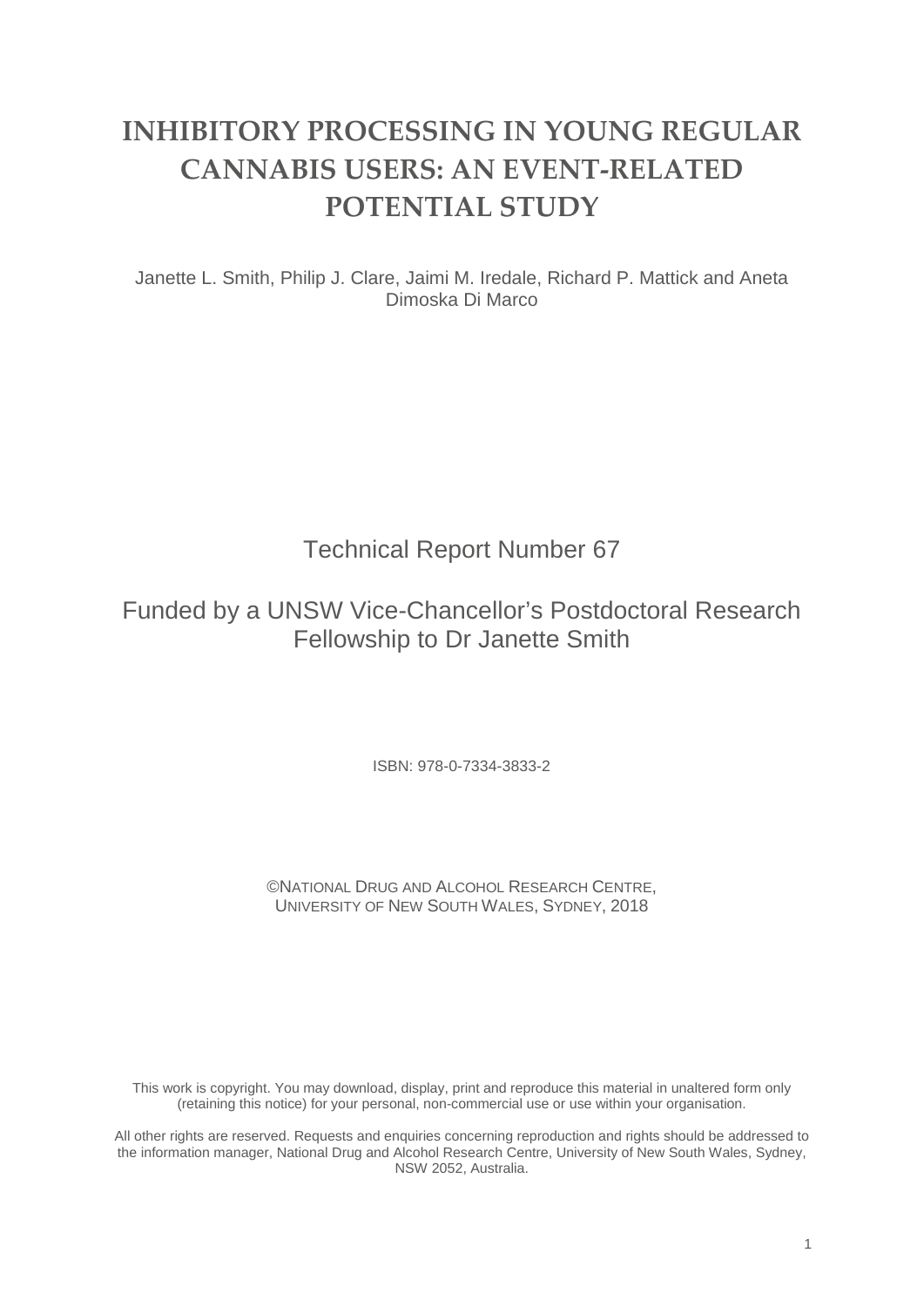# **INHIBITORY PROCESSING IN YOUNG REGULAR CANNABIS USERS: AN EVENT-RELATED POTENTIAL STUDY**

Janette L. Smith, Philip J. Clare, Jaimi M. Iredale, Richard P. Mattick and Aneta Dimoska Di Marco

## Technical Report Number 67

## Funded by a UNSW Vice-Chancellor's Postdoctoral Research Fellowship to Dr Janette Smith

ISBN: 978-0-7334-3833-2

©NATIONAL DRUG AND ALCOHOL RESEARCH CENTRE, UNIVERSITY OF NEW SOUTH WALES, SYDNEY, 2018

This work is copyright. You may download, display, print and reproduce this material in unaltered form only (retaining this notice) for your personal, non-commercial use or use within your organisation.

All other rights are reserved. Requests and enquiries concerning reproduction and rights should be addressed to the information manager, National Drug and Alcohol Research Centre, University of New South Wales, Sydney, NSW 2052, Australia.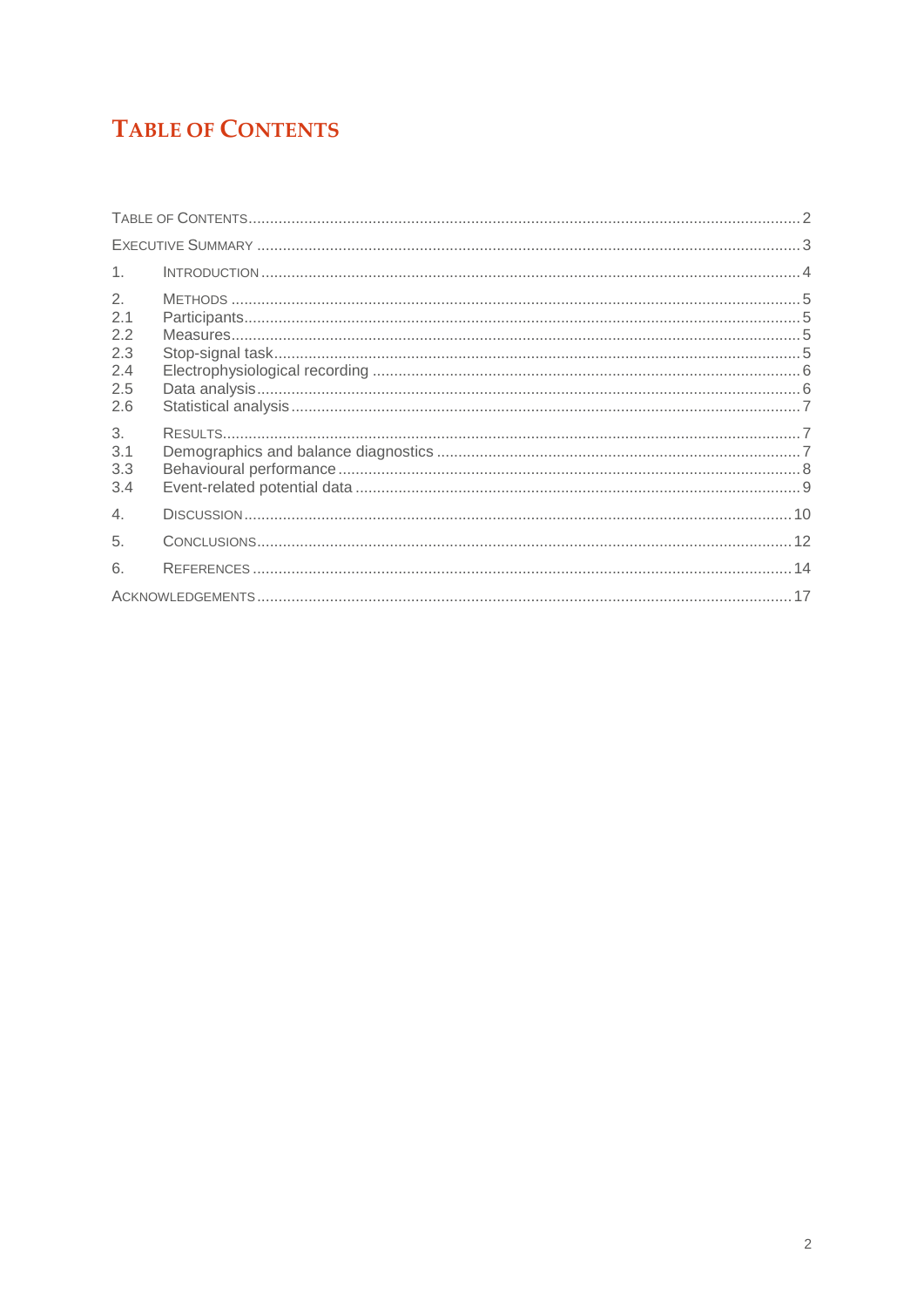# <span id="page-1-0"></span>**TABLE OF CONTENTS**

| 1 <sub>1</sub>                               |  |  |  |  |  |
|----------------------------------------------|--|--|--|--|--|
| 2.<br>2.1<br>2.2<br>2.3<br>2.4<br>2.5<br>2.6 |  |  |  |  |  |
| 3.<br>3.1<br>3.3<br>3.4                      |  |  |  |  |  |
| 4.                                           |  |  |  |  |  |
| 5.                                           |  |  |  |  |  |
| 6.                                           |  |  |  |  |  |
|                                              |  |  |  |  |  |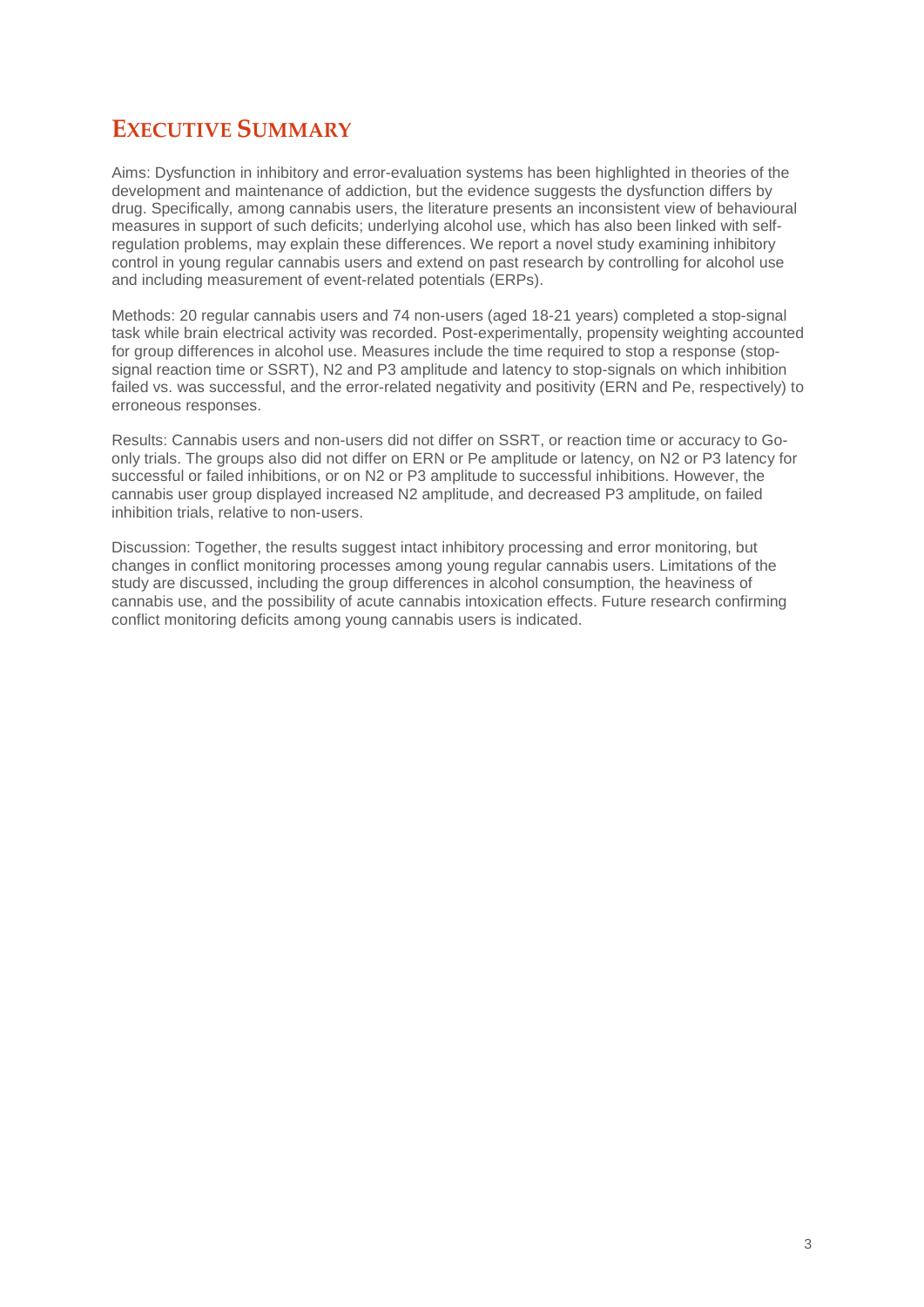## <span id="page-2-0"></span>**EXECUTIVE SUMMARY**

Aims: Dysfunction in inhibitory and error-evaluation systems has been highlighted in theories of the development and maintenance of addiction, but the evidence suggests the dysfunction differs by drug. Specifically, among cannabis users, the literature presents an inconsistent view of behavioural measures in support of such deficits; underlying alcohol use, which has also been linked with selfregulation problems, may explain these differences. We report a novel study examining inhibitory control in young regular cannabis users and extend on past research by controlling for alcohol use and including measurement of event-related potentials (ERPs).

Methods: 20 regular cannabis users and 74 non-users (aged 18-21 years) completed a stop-signal task while brain electrical activity was recorded. Post-experimentally, propensity weighting accounted for group differences in alcohol use. Measures include the time required to stop a response (stopsignal reaction time or SSRT), N2 and P3 amplitude and latency to stop-signals on which inhibition failed vs. was successful, and the error-related negativity and positivity (ERN and Pe, respectively) to erroneous responses.

Results: Cannabis users and non-users did not differ on SSRT, or reaction time or accuracy to Goonly trials. The groups also did not differ on ERN or Pe amplitude or latency, on N2 or P3 latency for successful or failed inhibitions, or on N2 or P3 amplitude to successful inhibitions. However, the cannabis user group displayed increased N2 amplitude, and decreased P3 amplitude, on failed inhibition trials, relative to non-users.

Discussion: Together, the results suggest intact inhibitory processing and error monitoring, but changes in conflict monitoring processes among young regular cannabis users. Limitations of the study are discussed, including the group differences in alcohol consumption, the heaviness of cannabis use, and the possibility of acute cannabis intoxication effects. Future research confirming conflict monitoring deficits among young cannabis users is indicated.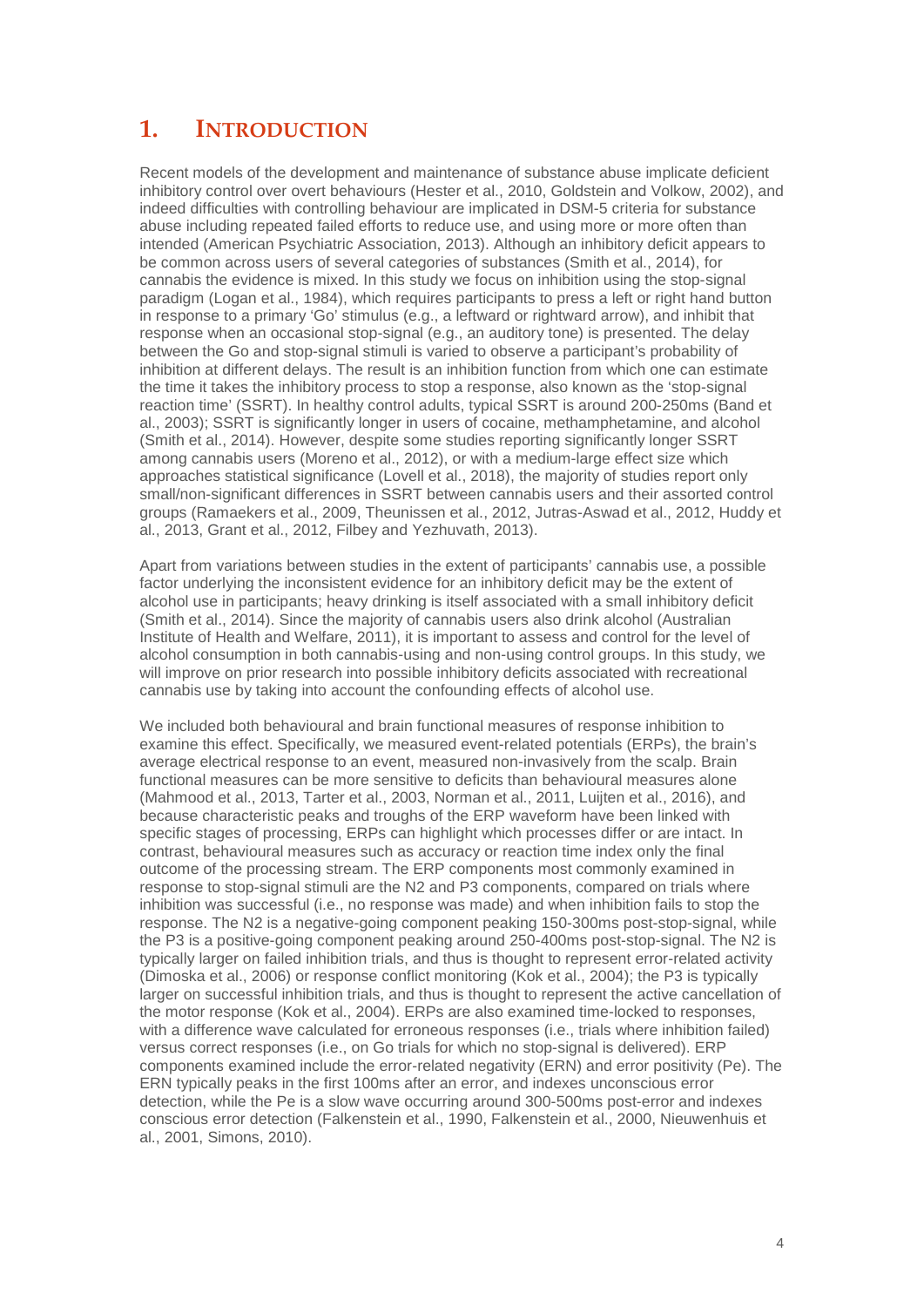## <span id="page-3-0"></span>**1. INTRODUCTION**

Recent models of the development and maintenance of substance abuse implicate deficient inhibitory control over overt behaviours (Hester et al., 2010, Goldstein and Volkow, 2002), and indeed difficulties with controlling behaviour are implicated in DSM-5 criteria for substance abuse including repeated failed efforts to reduce use, and using more or more often than intended (American Psychiatric Association, 2013). Although an inhibitory deficit appears to be common across users of several categories of substances (Smith et al., 2014), for cannabis the evidence is mixed. In this study we focus on inhibition using the stop-signal paradigm (Logan et al., 1984), which requires participants to press a left or right hand button in response to a primary 'Go' stimulus (e.g., a leftward or rightward arrow), and inhibit that response when an occasional stop-signal (e.g., an auditory tone) is presented. The delay between the Go and stop-signal stimuli is varied to observe a participant's probability of inhibition at different delays. The result is an inhibition function from which one can estimate the time it takes the inhibitory process to stop a response, also known as the 'stop-signal reaction time' (SSRT). In healthy control adults, typical SSRT is around 200-250ms (Band et al., 2003); SSRT is significantly longer in users of cocaine, methamphetamine, and alcohol (Smith et al., 2014). However, despite some studies reporting significantly longer SSRT among cannabis users (Moreno et al., 2012), or with a medium-large effect size which approaches statistical significance (Lovell et al., 2018), the majority of studies report only small/non-significant differences in SSRT between cannabis users and their assorted control groups (Ramaekers et al., 2009, Theunissen et al., 2012, Jutras-Aswad et al., 2012, Huddy et al., 2013, Grant et al., 2012, Filbey and Yezhuvath, 2013).

Apart from variations between studies in the extent of participants' cannabis use, a possible factor underlying the inconsistent evidence for an inhibitory deficit may be the extent of alcohol use in participants; heavy drinking is itself associated with a small inhibitory deficit (Smith et al., 2014). Since the majority of cannabis users also drink alcohol (Australian Institute of Health and Welfare, 2011), it is important to assess and control for the level of alcohol consumption in both cannabis-using and non-using control groups. In this study, we will improve on prior research into possible inhibitory deficits associated with recreational cannabis use by taking into account the confounding effects of alcohol use.

We included both behavioural and brain functional measures of response inhibition to examine this effect. Specifically, we measured event-related potentials (ERPs), the brain's average electrical response to an event, measured non-invasively from the scalp. Brain functional measures can be more sensitive to deficits than behavioural measures alone (Mahmood et al., 2013, Tarter et al., 2003, Norman et al., 2011, Luijten et al., 2016), and because characteristic peaks and troughs of the ERP waveform have been linked with specific stages of processing, ERPs can highlight which processes differ or are intact. In contrast, behavioural measures such as accuracy or reaction time index only the final outcome of the processing stream. The ERP components most commonly examined in response to stop-signal stimuli are the N2 and P3 components, compared on trials where inhibition was successful (i.e., no response was made) and when inhibition fails to stop the response. The N2 is a negative-going component peaking 150-300ms post-stop-signal, while the P3 is a positive-going component peaking around 250-400ms post-stop-signal. The N2 is typically larger on failed inhibition trials, and thus is thought to represent error-related activity (Dimoska et al., 2006) or response conflict monitoring (Kok et al., 2004); the P3 is typically larger on successful inhibition trials, and thus is thought to represent the active cancellation of the motor response (Kok et al., 2004). ERPs are also examined time-locked to responses, with a difference wave calculated for erroneous responses (i.e., trials where inhibition failed) versus correct responses (i.e., on Go trials for which no stop-signal is delivered). ERP components examined include the error-related negativity (ERN) and error positivity (Pe). The ERN typically peaks in the first 100ms after an error, and indexes unconscious error detection, while the Pe is a slow wave occurring around 300-500ms post-error and indexes conscious error detection (Falkenstein et al., 1990, Falkenstein et al., 2000, Nieuwenhuis et al., 2001, Simons, 2010).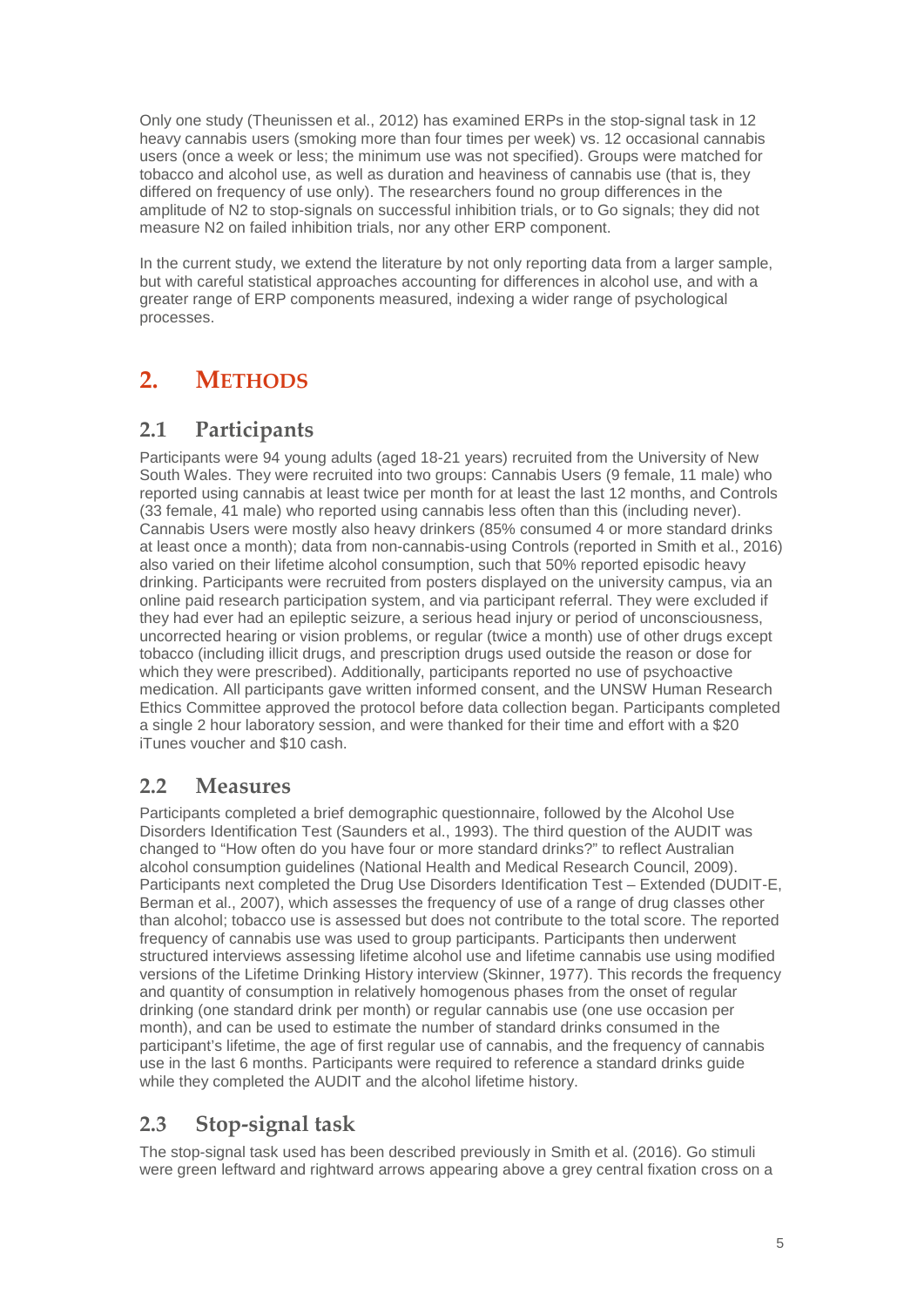Only one study (Theunissen et al., 2012) has examined ERPs in the stop-signal task in 12 heavy cannabis users (smoking more than four times per week) vs. 12 occasional cannabis users (once a week or less; the minimum use was not specified). Groups were matched for tobacco and alcohol use, as well as duration and heaviness of cannabis use (that is, they differed on frequency of use only). The researchers found no group differences in the amplitude of N2 to stop-signals on successful inhibition trials, or to Go signals; they did not measure N2 on failed inhibition trials, nor any other ERP component.

In the current study, we extend the literature by not only reporting data from a larger sample, but with careful statistical approaches accounting for differences in alcohol use, and with a greater range of ERP components measured, indexing a wider range of psychological processes.

## <span id="page-4-0"></span>**2. METHODS**

#### <span id="page-4-1"></span>**2.1 Participants**

Participants were 94 young adults (aged 18-21 years) recruited from the University of New South Wales. They were recruited into two groups: Cannabis Users (9 female, 11 male) who reported using cannabis at least twice per month for at least the last 12 months, and Controls (33 female, 41 male) who reported using cannabis less often than this (including never). Cannabis Users were mostly also heavy drinkers (85% consumed 4 or more standard drinks at least once a month); data from non-cannabis-using Controls (reported in Smith et al., 2016) also varied on their lifetime alcohol consumption, such that 50% reported episodic heavy drinking. Participants were recruited from posters displayed on the university campus, via an online paid research participation system, and via participant referral. They were excluded if they had ever had an epileptic seizure, a serious head injury or period of unconsciousness, uncorrected hearing or vision problems, or regular (twice a month) use of other drugs except tobacco (including illicit drugs, and prescription drugs used outside the reason or dose for which they were prescribed). Additionally, participants reported no use of psychoactive medication. All participants gave written informed consent, and the UNSW Human Research Ethics Committee approved the protocol before data collection began. Participants completed a single 2 hour laboratory session, and were thanked for their time and effort with a \$20 iTunes voucher and \$10 cash.

#### <span id="page-4-2"></span>**2.2 Measures**

Participants completed a brief demographic questionnaire, followed by the Alcohol Use Disorders Identification Test (Saunders et al., 1993). The third question of the AUDIT was changed to "How often do you have four or more standard drinks?" to reflect Australian alcohol consumption guidelines (National Health and Medical Research Council, 2009). Participants next completed the Drug Use Disorders Identification Test – Extended (DUDIT-E, Berman et al., 2007), which assesses the frequency of use of a range of drug classes other than alcohol; tobacco use is assessed but does not contribute to the total score. The reported frequency of cannabis use was used to group participants. Participants then underwent structured interviews assessing lifetime alcohol use and lifetime cannabis use using modified versions of the Lifetime Drinking History interview (Skinner, 1977). This records the frequency and quantity of consumption in relatively homogenous phases from the onset of regular drinking (one standard drink per month) or regular cannabis use (one use occasion per month), and can be used to estimate the number of standard drinks consumed in the participant's lifetime, the age of first regular use of cannabis, and the frequency of cannabis use in the last 6 months. Participants were required to reference a standard drinks guide while they completed the AUDIT and the alcohol lifetime history.

### <span id="page-4-3"></span>**2.3 Stop-signal task**

The stop-signal task used has been described previously in Smith et al. (2016). Go stimuli were green leftward and rightward arrows appearing above a grey central fixation cross on a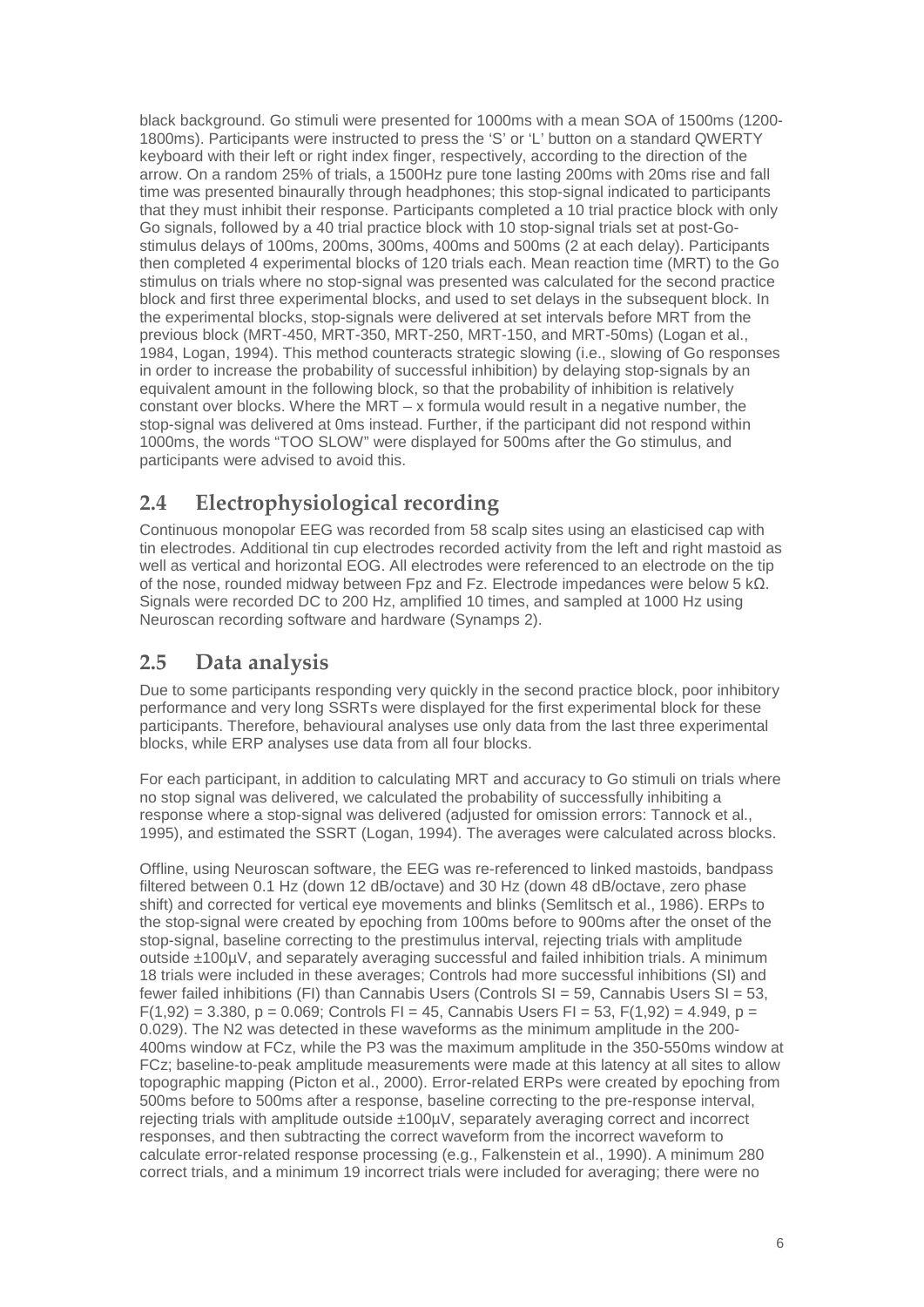black background. Go stimuli were presented for 1000ms with a mean SOA of 1500ms (1200- 1800ms). Participants were instructed to press the 'S' or 'L' button on a standard QWERTY keyboard with their left or right index finger, respectively, according to the direction of the arrow. On a random 25% of trials, a 1500Hz pure tone lasting 200ms with 20ms rise and fall time was presented binaurally through headphones; this stop-signal indicated to participants that they must inhibit their response. Participants completed a 10 trial practice block with only Go signals, followed by a 40 trial practice block with 10 stop-signal trials set at post-Gostimulus delays of 100ms, 200ms, 300ms, 400ms and 500ms (2 at each delay). Participants then completed 4 experimental blocks of 120 trials each. Mean reaction time (MRT) to the Go stimulus on trials where no stop-signal was presented was calculated for the second practice block and first three experimental blocks, and used to set delays in the subsequent block. In the experimental blocks, stop-signals were delivered at set intervals before MRT from the previous block (MRT-450, MRT-350, MRT-250, MRT-150, and MRT-50ms) (Logan et al., 1984, Logan, 1994). This method counteracts strategic slowing (i.e., slowing of Go responses in order to increase the probability of successful inhibition) by delaying stop-signals by an equivalent amount in the following block, so that the probability of inhibition is relatively constant over blocks. Where the  $MRT - x$  formula would result in a negative number, the stop-signal was delivered at 0ms instead. Further, if the participant did not respond within 1000ms, the words "TOO SLOW" were displayed for 500ms after the Go stimulus, and participants were advised to avoid this.

### <span id="page-5-0"></span>**2.4 Electrophysiological recording**

Continuous monopolar EEG was recorded from 58 scalp sites using an elasticised cap with tin electrodes. Additional tin cup electrodes recorded activity from the left and right mastoid as well as vertical and horizontal EOG. All electrodes were referenced to an electrode on the tip of the nose, rounded midway between Fpz and Fz. Electrode impedances were below 5 kΩ. Signals were recorded DC to 200 Hz, amplified 10 times, and sampled at 1000 Hz using Neuroscan recording software and hardware (Synamps 2).

#### <span id="page-5-1"></span>**2.5 Data analysis**

Due to some participants responding very quickly in the second practice block, poor inhibitory performance and very long SSRTs were displayed for the first experimental block for these participants. Therefore, behavioural analyses use only data from the last three experimental blocks, while ERP analyses use data from all four blocks.

For each participant, in addition to calculating MRT and accuracy to Go stimuli on trials where no stop signal was delivered, we calculated the probability of successfully inhibiting a response where a stop-signal was delivered (adjusted for omission errors: Tannock et al., 1995), and estimated the SSRT (Logan, 1994). The averages were calculated across blocks.

Offline, using Neuroscan software, the EEG was re-referenced to linked mastoids, bandpass filtered between 0.1 Hz (down 12 dB/octave) and 30 Hz (down 48 dB/octave, zero phase shift) and corrected for vertical eye movements and blinks (Semlitsch et al., 1986). ERPs to the stop-signal were created by epoching from 100ms before to 900ms after the onset of the stop-signal, baseline correcting to the prestimulus interval, rejecting trials with amplitude outside ±100µV, and separately averaging successful and failed inhibition trials. A minimum 18 trials were included in these averages; Controls had more successful inhibitions (SI) and fewer failed inhibitions (FI) than Cannabis Users (Controls SI = 59, Cannabis Users SI = 53,  $F(1,92) = 3.380$ , p = 0.069; Controls FI = 45, Cannabis Users FI = 53, F(1,92) = 4.949, p = 0.029). The N2 was detected in these waveforms as the minimum amplitude in the 200- 400ms window at FCz, while the P3 was the maximum amplitude in the 350-550ms window at FCz; baseline-to-peak amplitude measurements were made at this latency at all sites to allow topographic mapping (Picton et al., 2000). Error-related ERPs were created by epoching from 500ms before to 500ms after a response, baseline correcting to the pre-response interval, rejecting trials with amplitude outside ±100µV, separately averaging correct and incorrect responses, and then subtracting the correct waveform from the incorrect waveform to calculate error-related response processing (e.g., Falkenstein et al., 1990). A minimum 280 correct trials, and a minimum 19 incorrect trials were included for averaging; there were no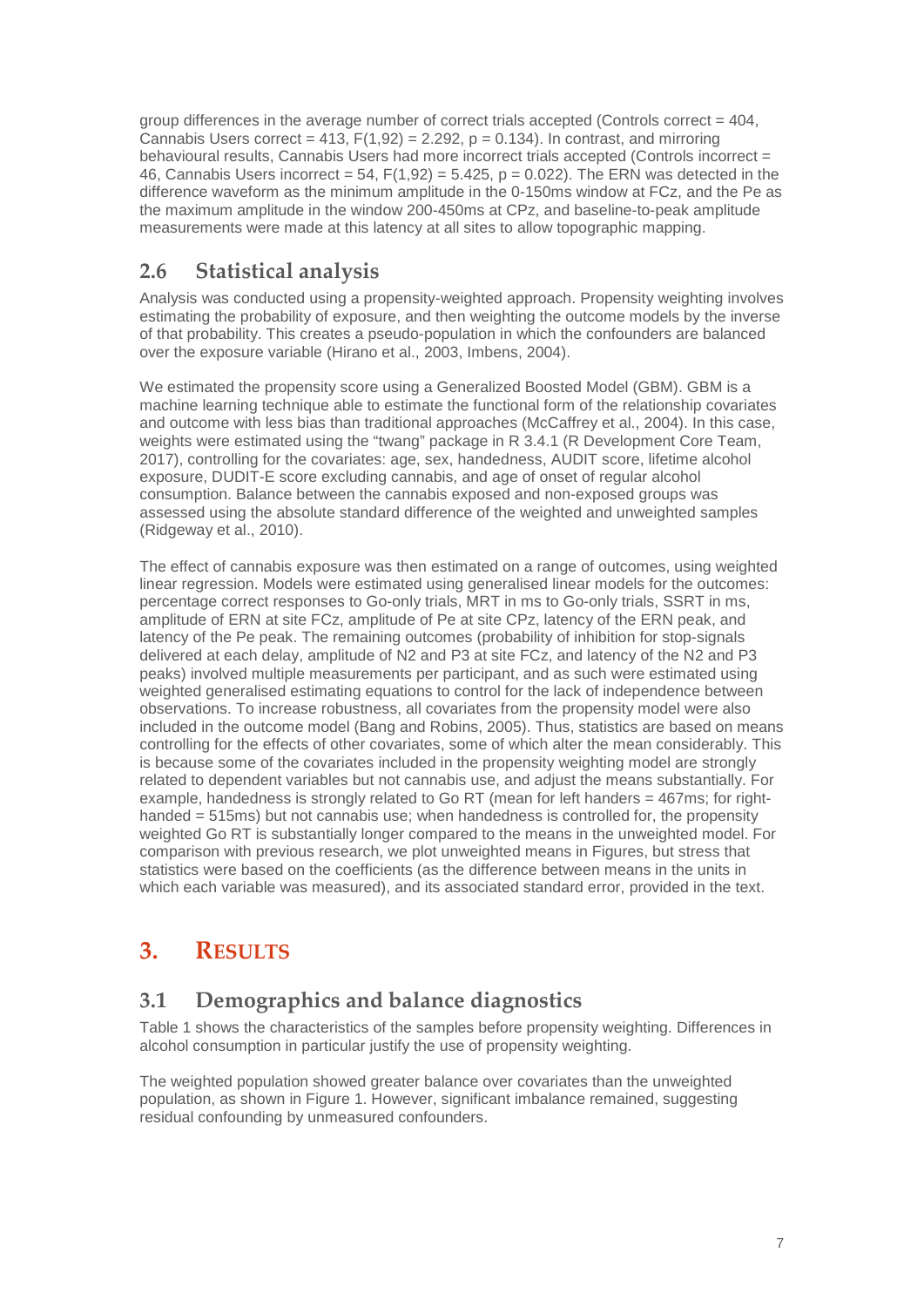group differences in the average number of correct trials accepted (Controls correct  $= 404$ , Cannabis Users correct = 413,  $F(1,92) = 2.292$ ,  $p = 0.134$ ). In contrast, and mirroring behavioural results, Cannabis Users had more incorrect trials accepted (Controls incorrect = 46, Cannabis Users incorrect = 54,  $F(1,92) = 5.425$ , p = 0.022). The ERN was detected in the difference waveform as the minimum amplitude in the 0-150ms window at FCz, and the Pe as the maximum amplitude in the window 200-450ms at CPz, and baseline-to-peak amplitude measurements were made at this latency at all sites to allow topographic mapping.

#### <span id="page-6-0"></span>**2.6 Statistical analysis**

Analysis was conducted using a propensity-weighted approach. Propensity weighting involves estimating the probability of exposure, and then weighting the outcome models by the inverse of that probability. This creates a pseudo-population in which the confounders are balanced over the exposure variable (Hirano et al., 2003, Imbens, 2004).

We estimated the propensity score using a Generalized Boosted Model (GBM). GBM is a machine learning technique able to estimate the functional form of the relationship covariates and outcome with less bias than traditional approaches (McCaffrey et al., 2004). In this case, weights were estimated using the "twang" package in R 3.4.1 (R Development Core Team, 2017), controlling for the covariates: age, sex, handedness, AUDIT score, lifetime alcohol exposure, DUDIT-E score excluding cannabis, and age of onset of regular alcohol consumption. Balance between the cannabis exposed and non-exposed groups was assessed using the absolute standard difference of the weighted and unweighted samples (Ridgeway et al., 2010).

The effect of cannabis exposure was then estimated on a range of outcomes, using weighted linear regression. Models were estimated using generalised linear models for the outcomes: percentage correct responses to Go-only trials, MRT in ms to Go-only trials, SSRT in ms, amplitude of ERN at site FCz, amplitude of Pe at site CPz, latency of the ERN peak, and latency of the Pe peak. The remaining outcomes (probability of inhibition for stop-signals delivered at each delay, amplitude of N2 and P3 at site FCz, and latency of the N2 and P3 peaks) involved multiple measurements per participant, and as such were estimated using weighted generalised estimating equations to control for the lack of independence between observations. To increase robustness, all covariates from the propensity model were also included in the outcome model (Bang and Robins, 2005). Thus, statistics are based on means controlling for the effects of other covariates, some of which alter the mean considerably. This is because some of the covariates included in the propensity weighting model are strongly related to dependent variables but not cannabis use, and adjust the means substantially. For example, handedness is strongly related to Go RT (mean for left handers = 467ms; for righthanded = 515ms) but not cannabis use; when handedness is controlled for, the propensity weighted Go RT is substantially longer compared to the means in the unweighted model. For comparison with previous research, we plot unweighted means in Figures, but stress that statistics were based on the coefficients (as the difference between means in the units in which each variable was measured), and its associated standard error, provided in the text.

## <span id="page-6-1"></span>**3. RESULTS**

#### <span id="page-6-2"></span>**3.1 Demographics and balance diagnostics**

Table 1 shows the characteristics of the samples before propensity weighting. Differences in alcohol consumption in particular justify the use of propensity weighting.

The weighted population showed greater balance over covariates than the unweighted population, as shown in Figure 1. However, significant imbalance remained, suggesting residual confounding by unmeasured confounders.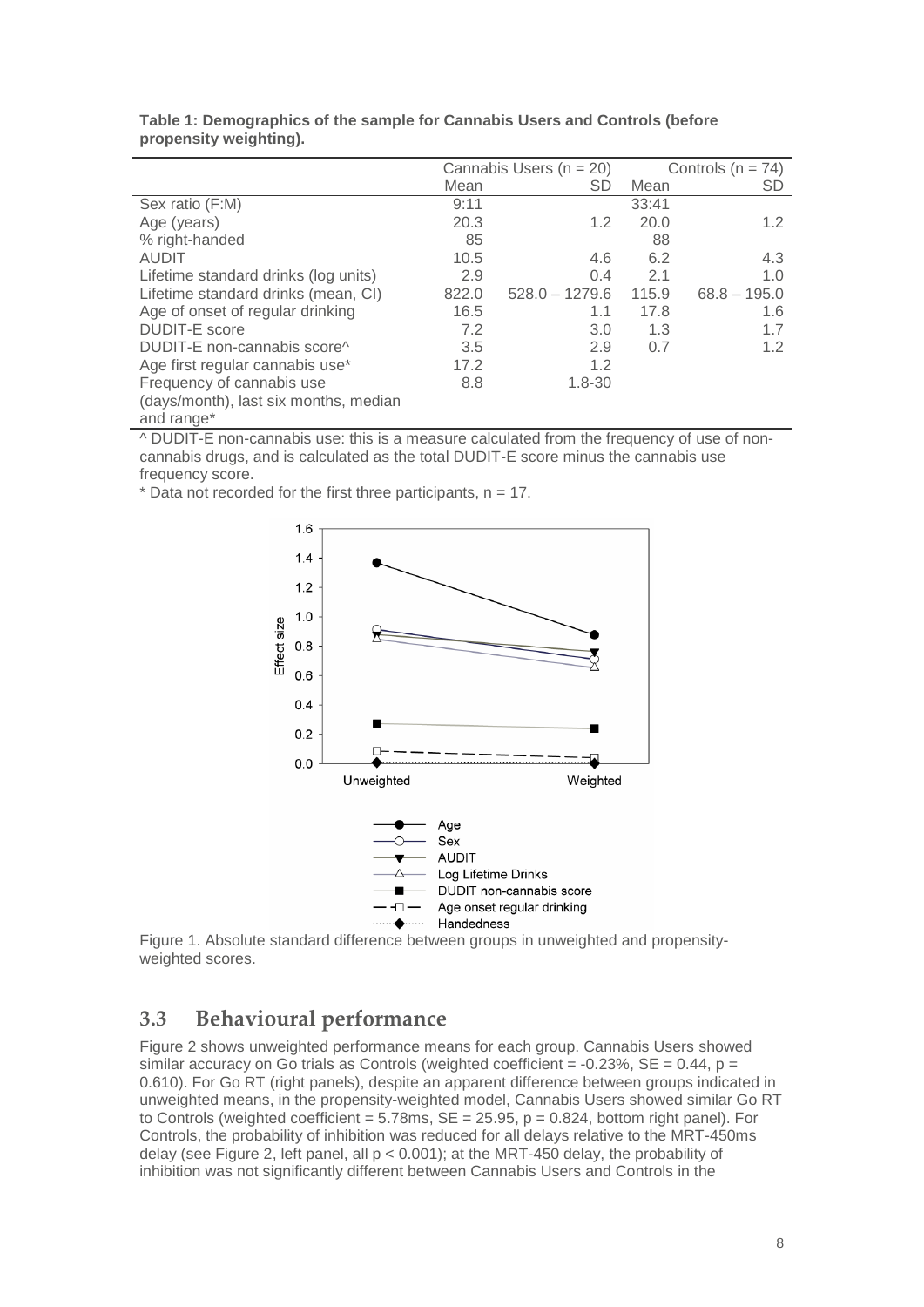|                                       |       | Cannabis Users ( $n = 20$ ) |       | Controls $(n = 74)$ |
|---------------------------------------|-------|-----------------------------|-------|---------------------|
|                                       | Mean  | <b>SD</b>                   | Mean  | <b>SD</b>           |
| Sex ratio (F:M)                       | 9:11  |                             | 33:41 |                     |
| Age (years)                           | 20.3  | 1.2                         | 20.0  | 1.2                 |
| % right-handed                        | 85    |                             | 88    |                     |
| <b>AUDIT</b>                          | 10.5  | 4.6                         | 6.2   | 4.3                 |
| Lifetime standard drinks (log units)  | 2.9   | 0.4                         | 2.1   | 1.0                 |
| Lifetime standard drinks (mean, CI)   | 822.0 | $528.0 - 1279.6$            | 115.9 | $68.8 - 195.0$      |
| Age of onset of regular drinking      | 16.5  | 1.1                         | 17.8  | 1.6                 |
| <b>DUDIT-E</b> score                  | 7.2   | 3.0                         | 1.3   | 1.7                 |
| DUDIT-E non-cannabis score^           | 3.5   | 2.9                         | 0.7   | 1.2                 |
| Age first regular cannabis use*       | 17.2  | 1.2                         |       |                     |
| Frequency of cannabis use             | 8.8   | $1.8 - 30$                  |       |                     |
| (days/month), last six months, median |       |                             |       |                     |
| and range <sup>*</sup>                |       |                             |       |                     |

| Table 1: Demographics of the sample for Cannabis Users and Controls (before |  |  |
|-----------------------------------------------------------------------------|--|--|
| propensity weighting).                                                      |  |  |

^ DUDIT-E non-cannabis use: this is a measure calculated from the frequency of use of noncannabis drugs, and is calculated as the total DUDIT-E score minus the cannabis use frequency score.

 $*$  Data not recorded for the first three participants,  $n = 17$ .



Figure 1. Absolute standard difference between groups in unweighted and propensityweighted scores.

### <span id="page-7-0"></span>**3.3 Behavioural performance**

Figure 2 shows unweighted performance means for each group. Cannabis Users showed similar accuracy on Go trials as Controls (weighted coefficient =  $-0.23\%$ , SE = 0.44, p = 0.610). For Go RT (right panels), despite an apparent difference between groups indicated in unweighted means, in the propensity-weighted model, Cannabis Users showed similar Go RT to Controls (weighted coefficient =  $5.78\text{ms}$ , SE = 25.95, p = 0.824, bottom right panel). For Controls, the probability of inhibition was reduced for all delays relative to the MRT-450ms delay (see Figure 2, left panel, all p < 0.001); at the MRT-450 delay, the probability of inhibition was not significantly different between Cannabis Users and Controls in the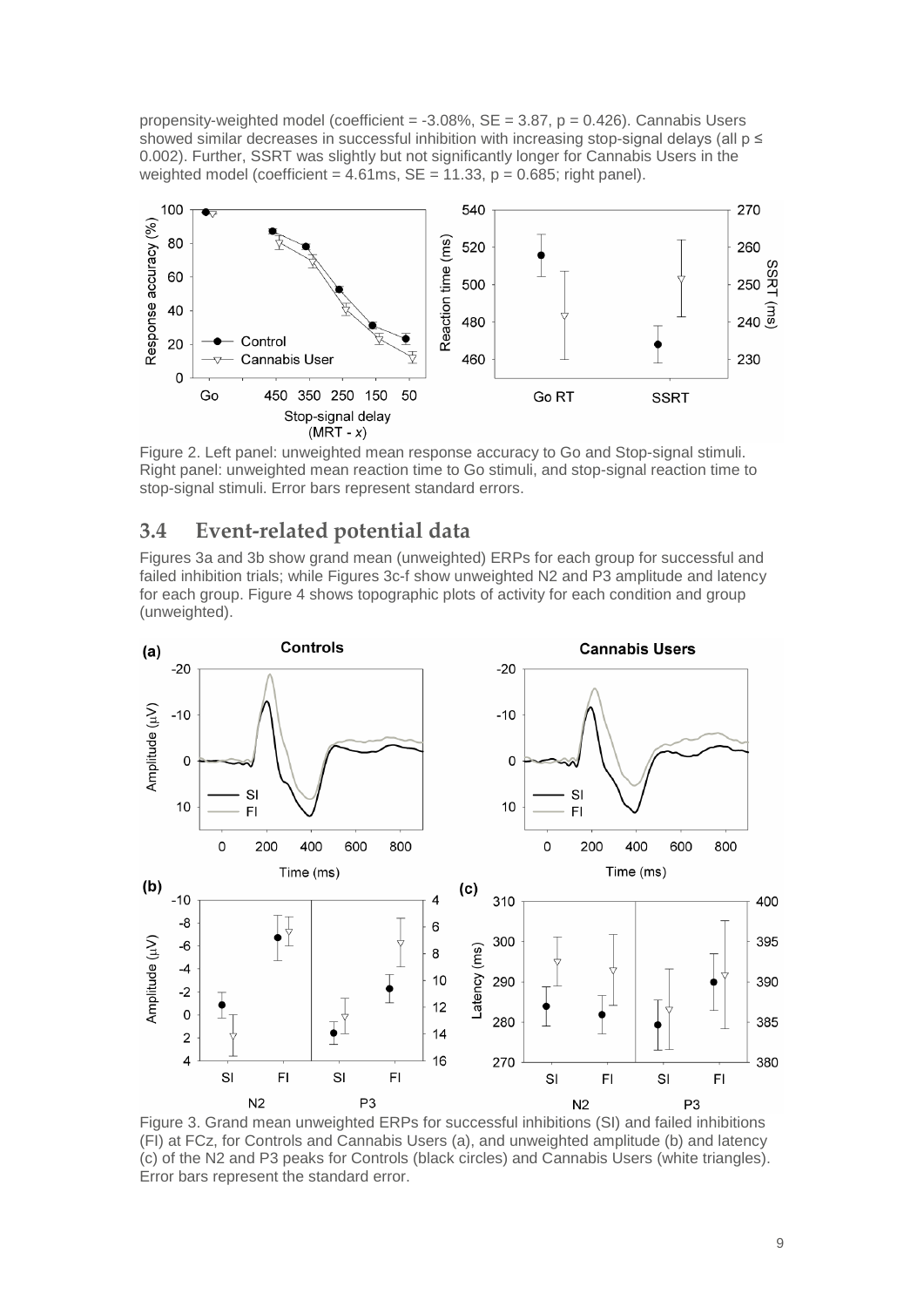propensity-weighted model (coefficient =  $-3.08\%$ , SE =  $3.87$ , p = 0.426). Cannabis Users showed similar decreases in successful inhibition with increasing stop-signal delays (all  $p \le$ 0.002). Further, SSRT was slightly but not significantly longer for Cannabis Users in the weighted model (coefficient =  $4.61$ ms, SE =  $11.33$ , p =  $0.685$ ; right panel).



Figure 2. Left panel: unweighted mean response accuracy to Go and Stop-signal stimuli. Right panel: unweighted mean reaction time to Go stimuli, and stop-signal reaction time to stop-signal stimuli. Error bars represent standard errors.

#### <span id="page-8-0"></span>**3.4 Event-related potential data**

Figures 3a and 3b show grand mean (unweighted) ERPs for each group for successful and failed inhibition trials; while Figures 3c-f show unweighted N2 and P3 amplitude and latency for each group. Figure 4 shows topographic plots of activity for each condition and group (unweighted).



Figure 3. Grand mean unweighted ERPs for successful inhibitions (SI) and failed inhibitions (FI) at FCz, for Controls and Cannabis Users (a), and unweighted amplitude (b) and latency (c) of the N2 and P3 peaks for Controls (black circles) and Cannabis Users (white triangles). Error bars represent the standard error.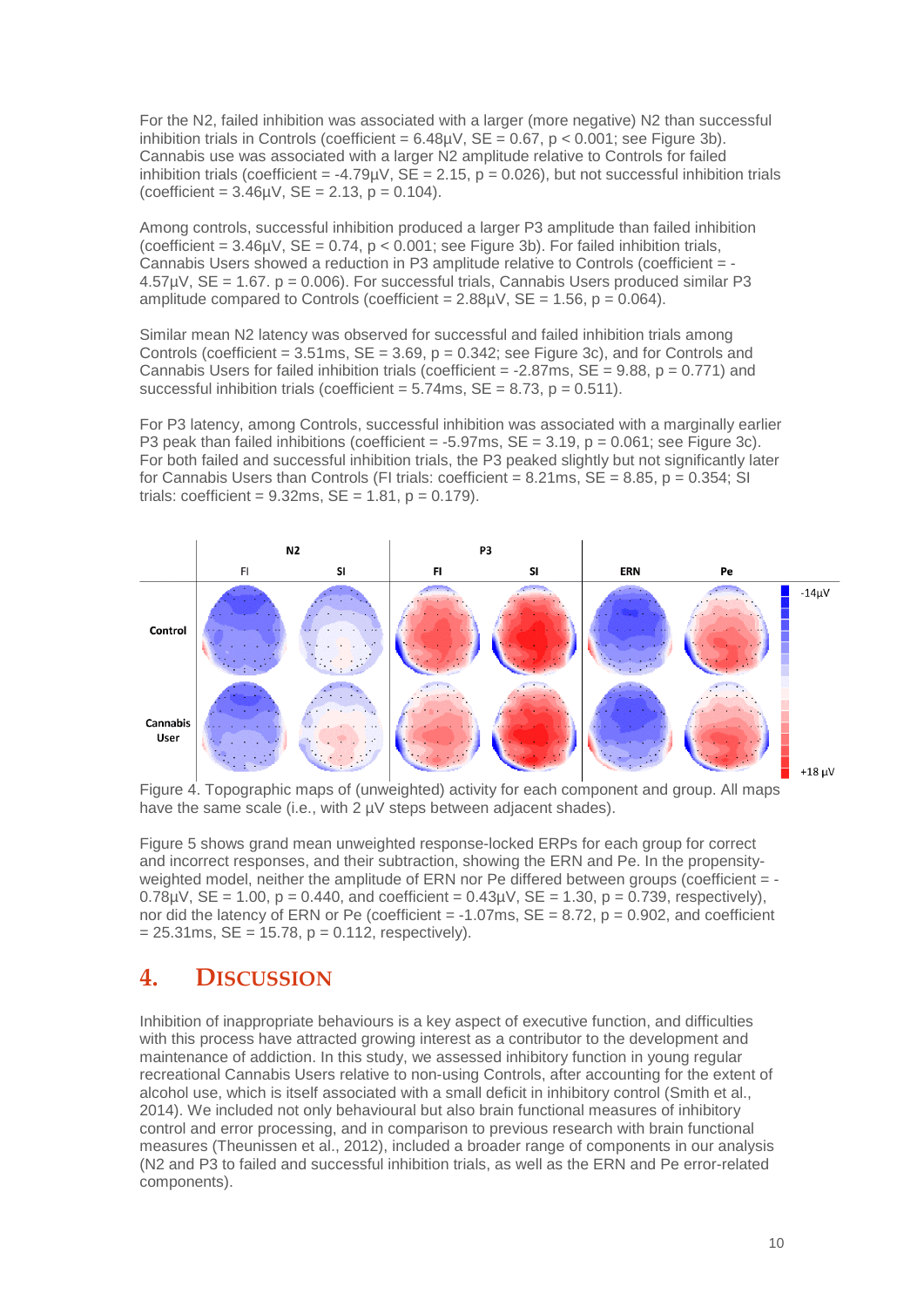For the N2, failed inhibition was associated with a larger (more negative) N2 than successful inhibition trials in Controls (coefficient =  $6.48\mu$ V, SE =  $0.67$ , p <  $0.001$ ; see Figure 3b). Cannabis use was associated with a larger N2 amplitude relative to Controls for failed inhibition trials (coefficient = -4.79µV,  $SE = 2.15$ ,  $p = 0.026$ ), but not successful inhibition trials  $(coefficient = 3.46\mu V, SE = 2.13, p = 0.104).$ 

Among controls, successful inhibition produced a larger P3 amplitude than failed inhibition (coefficient =  $3.46\mu$ V, SE =  $0.74$ , p <  $0.001$ ; see Figure 3b). For failed inhibition trials, Cannabis Users showed a reduction in P3 amplitude relative to Controls (coefficient = - 4.57µV, SE = 1.67. p = 0.006). For successful trials, Cannabis Users produced similar P3 amplitude compared to Controls (coefficient =  $2.88\mu$ V, SE = 1.56, p = 0.064).

Similar mean N2 latency was observed for successful and failed inhibition trials among Controls (coefficient =  $3.51$ ms,  $SE = 3.69$ ,  $p = 0.342$ ; see Figure 3c), and for Controls and Cannabis Users for failed inhibition trials (coefficient =  $-2.87$ ms,  $SE = 9.88$ ,  $p = 0.771$ ) and successful inhibition trials (coefficient =  $5.74$ ms,  $SE = 8.73$ ,  $p = 0.511$ ).

For P3 latency, among Controls, successful inhibition was associated with a marginally earlier P3 peak than failed inhibitions (coefficient =  $-5.97$ ms,  $SE = 3.19$ ,  $p = 0.061$ ; see Figure 3c). For both failed and successful inhibition trials, the P3 peaked slightly but not significantly later for Cannabis Users than Controls (FI trials: coefficient =  $8.21 \text{ms}$ ,  $SE = 8.85$ ,  $p = 0.354$ ; SI trials: coefficient =  $9.32$ ms, SE =  $1.81$ , p =  $0.179$ ).



Figure 4. Topographic maps of (unweighted) activity for each component and group. All maps have the same scale (i.e., with 2  $\mu$ V steps between adjacent shades).

Figure 5 shows grand mean unweighted response-locked ERPs for each group for correct and incorrect responses, and their subtraction, showing the ERN and Pe. In the propensityweighted model, neither the amplitude of ERN nor Pe differed between groups (coefficient = - $0.78$ uV, SE = 1.00, p = 0.440, and coefficient = 0.43uV, SE = 1.30, p = 0.739, respectively). nor did the latency of ERN or Pe (coefficient  $= -1.07$ ms,  $SE = 8.72$ ,  $p = 0.902$ , and coefficient  $= 25.31$ ms, SE  $= 15.78$ , p  $= 0.112$ , respectively).

#### <span id="page-9-0"></span>**4. DISCUSSION**

Inhibition of inappropriate behaviours is a key aspect of executive function, and difficulties with this process have attracted growing interest as a contributor to the development and maintenance of addiction. In this study, we assessed inhibitory function in young regular recreational Cannabis Users relative to non-using Controls, after accounting for the extent of alcohol use, which is itself associated with a small deficit in inhibitory control (Smith et al., 2014). We included not only behavioural but also brain functional measures of inhibitory control and error processing, and in comparison to previous research with brain functional measures (Theunissen et al., 2012), included a broader range of components in our analysis (N2 and P3 to failed and successful inhibition trials, as well as the ERN and Pe error-related components).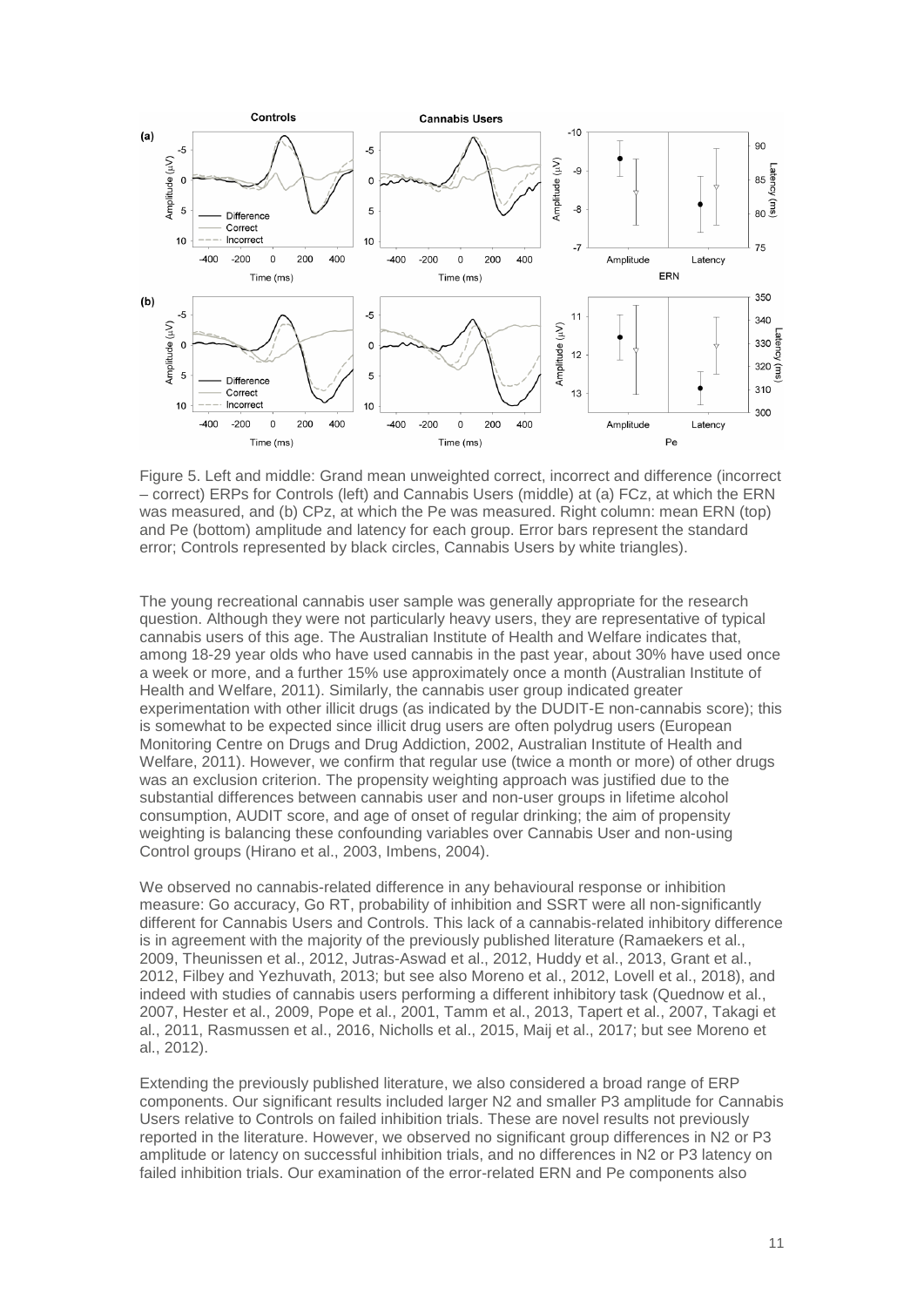

Figure 5. Left and middle: Grand mean unweighted correct, incorrect and difference (incorrect – correct) ERPs for Controls (left) and Cannabis Users (middle) at (a) FCz, at which the ERN was measured, and (b) CPz, at which the Pe was measured. Right column: mean ERN (top) and Pe (bottom) amplitude and latency for each group. Error bars represent the standard error; Controls represented by black circles, Cannabis Users by white triangles).

The young recreational cannabis user sample was generally appropriate for the research question. Although they were not particularly heavy users, they are representative of typical cannabis users of this age. The Australian Institute of Health and Welfare indicates that, among 18-29 year olds who have used cannabis in the past year, about 30% have used once a week or more, and a further 15% use approximately once a month (Australian Institute of Health and Welfare, 2011). Similarly, the cannabis user group indicated greater experimentation with other illicit drugs (as indicated by the DUDIT-E non-cannabis score); this is somewhat to be expected since illicit drug users are often polydrug users (European Monitoring Centre on Drugs and Drug Addiction, 2002, Australian Institute of Health and Welfare, 2011). However, we confirm that regular use (twice a month or more) of other drugs was an exclusion criterion. The propensity weighting approach was justified due to the substantial differences between cannabis user and non-user groups in lifetime alcohol consumption, AUDIT score, and age of onset of regular drinking; the aim of propensity weighting is balancing these confounding variables over Cannabis User and non-using Control groups (Hirano et al., 2003, Imbens, 2004).

We observed no cannabis-related difference in any behavioural response or inhibition measure: Go accuracy, Go RT, probability of inhibition and SSRT were all non-significantly different for Cannabis Users and Controls. This lack of a cannabis-related inhibitory difference is in agreement with the majority of the previously published literature (Ramaekers et al., 2009, Theunissen et al., 2012, Jutras-Aswad et al., 2012, Huddy et al., 2013, Grant et al., 2012, Filbey and Yezhuvath, 2013; but see also Moreno et al., 2012, Lovell et al., 2018), and indeed with studies of cannabis users performing a different inhibitory task (Quednow et al., 2007, Hester et al., 2009, Pope et al., 2001, Tamm et al., 2013, Tapert et al., 2007, Takagi et al., 2011, Rasmussen et al., 2016, Nicholls et al., 2015, Maij et al., 2017; but see Moreno et al., 2012).

Extending the previously published literature, we also considered a broad range of ERP components. Our significant results included larger N2 and smaller P3 amplitude for Cannabis Users relative to Controls on failed inhibition trials. These are novel results not previously reported in the literature. However, we observed no significant group differences in N2 or P3 amplitude or latency on successful inhibition trials, and no differences in N2 or P3 latency on failed inhibition trials. Our examination of the error-related ERN and Pe components also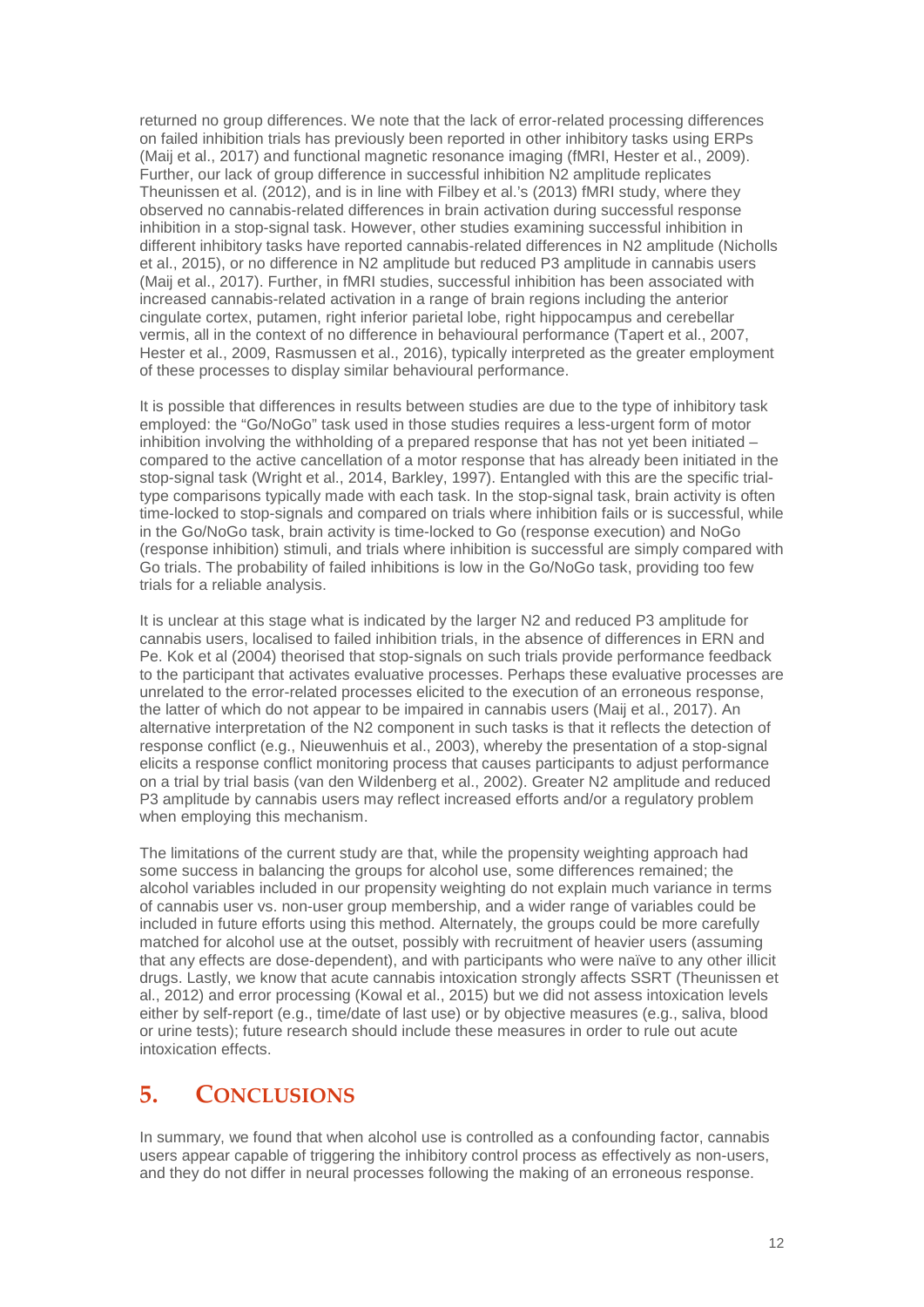returned no group differences. We note that the lack of error-related processing differences on failed inhibition trials has previously been reported in other inhibitory tasks using ERPs (Maij et al., 2017) and functional magnetic resonance imaging (fMRI, Hester et al., 2009). Further, our lack of group difference in successful inhibition N2 amplitude replicates Theunissen et al. (2012), and is in line with Filbey et al.'s (2013) fMRI study, where they observed no cannabis-related differences in brain activation during successful response inhibition in a stop-signal task. However, other studies examining successful inhibition in different inhibitory tasks have reported cannabis-related differences in N2 amplitude (Nicholls et al., 2015), or no difference in N2 amplitude but reduced P3 amplitude in cannabis users (Maij et al., 2017). Further, in fMRI studies, successful inhibition has been associated with increased cannabis-related activation in a range of brain regions including the anterior cingulate cortex, putamen, right inferior parietal lobe, right hippocampus and cerebellar vermis, all in the context of no difference in behavioural performance (Tapert et al., 2007, Hester et al., 2009, Rasmussen et al., 2016), typically interpreted as the greater employment of these processes to display similar behavioural performance.

It is possible that differences in results between studies are due to the type of inhibitory task employed: the "Go/NoGo" task used in those studies requires a less-urgent form of motor inhibition involving the withholding of a prepared response that has not yet been initiated – compared to the active cancellation of a motor response that has already been initiated in the stop-signal task (Wright et al., 2014, Barkley, 1997). Entangled with this are the specific trialtype comparisons typically made with each task. In the stop-signal task, brain activity is often time-locked to stop-signals and compared on trials where inhibition fails or is successful, while in the Go/NoGo task, brain activity is time-locked to Go (response execution) and NoGo (response inhibition) stimuli, and trials where inhibition is successful are simply compared with Go trials. The probability of failed inhibitions is low in the Go/NoGo task, providing too few trials for a reliable analysis.

It is unclear at this stage what is indicated by the larger N2 and reduced P3 amplitude for cannabis users, localised to failed inhibition trials, in the absence of differences in ERN and Pe. Kok et al (2004) theorised that stop-signals on such trials provide performance feedback to the participant that activates evaluative processes. Perhaps these evaluative processes are unrelated to the error-related processes elicited to the execution of an erroneous response, the latter of which do not appear to be impaired in cannabis users (Maij et al., 2017). An alternative interpretation of the N2 component in such tasks is that it reflects the detection of response conflict (e.g., Nieuwenhuis et al., 2003), whereby the presentation of a stop-signal elicits a response conflict monitoring process that causes participants to adjust performance on a trial by trial basis (van den Wildenberg et al., 2002). Greater N2 amplitude and reduced P3 amplitude by cannabis users may reflect increased efforts and/or a regulatory problem when employing this mechanism.

The limitations of the current study are that, while the propensity weighting approach had some success in balancing the groups for alcohol use, some differences remained; the alcohol variables included in our propensity weighting do not explain much variance in terms of cannabis user vs. non-user group membership, and a wider range of variables could be included in future efforts using this method. Alternately, the groups could be more carefully matched for alcohol use at the outset, possibly with recruitment of heavier users (assuming that any effects are dose-dependent), and with participants who were naïve to any other illicit drugs. Lastly, we know that acute cannabis intoxication strongly affects SSRT (Theunissen et al., 2012) and error processing (Kowal et al., 2015) but we did not assess intoxication levels either by self-report (e.g., time/date of last use) or by objective measures (e.g., saliva, blood or urine tests); future research should include these measures in order to rule out acute intoxication effects.

### <span id="page-11-0"></span>**5. CONCLUSIONS**

In summary, we found that when alcohol use is controlled as a confounding factor, cannabis users appear capable of triggering the inhibitory control process as effectively as non-users, and they do not differ in neural processes following the making of an erroneous response.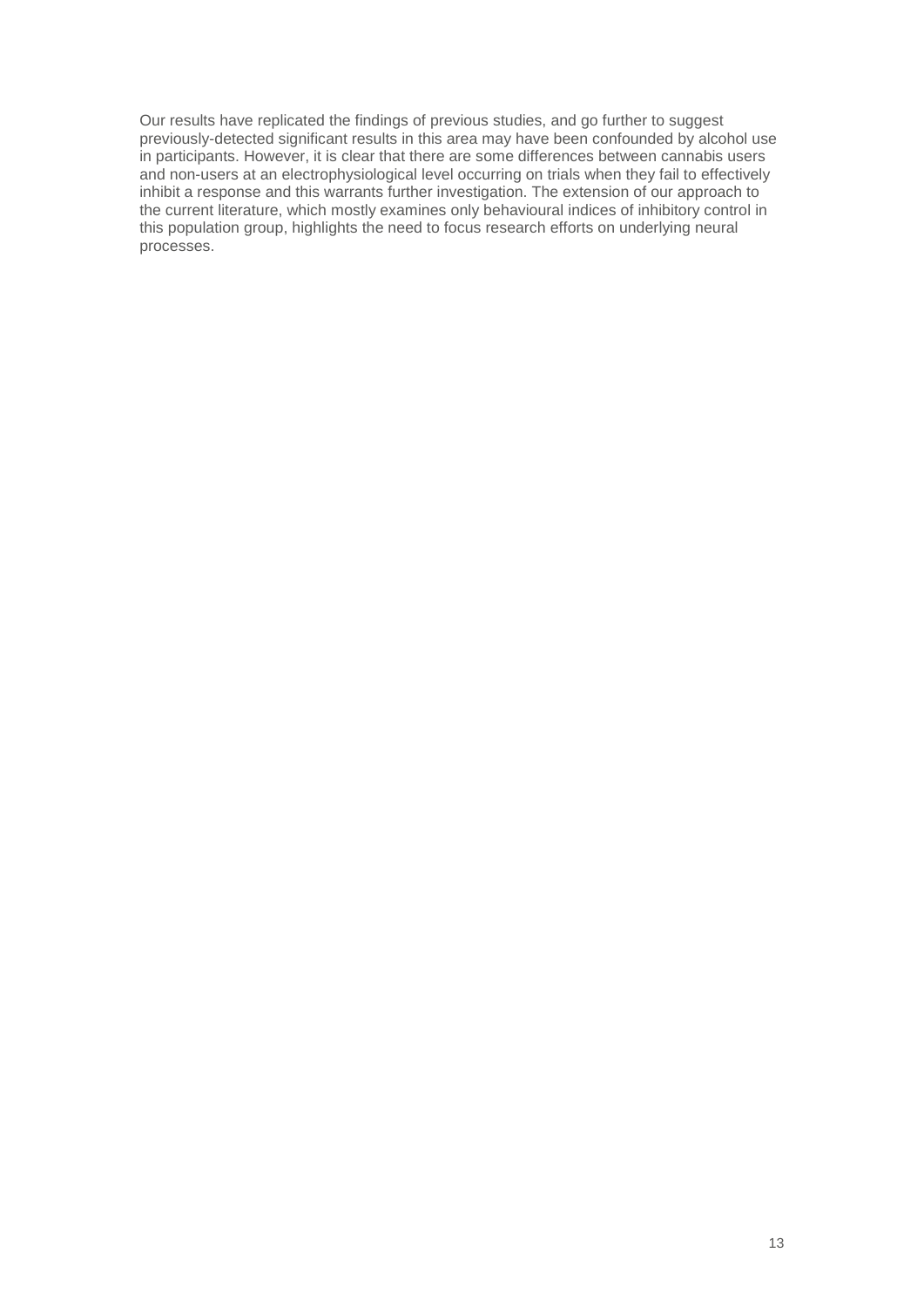Our results have replicated the findings of previous studies, and go further to suggest previously-detected significant results in this area may have been confounded by alcohol use in participants. However, it is clear that there are some differences between cannabis users and non-users at an electrophysiological level occurring on trials when they fail to effectively inhibit a response and this warrants further investigation. The extension of our approach to the current literature, which mostly examines only behavioural indices of inhibitory control in this population group, highlights the need to focus research efforts on underlying neural processes.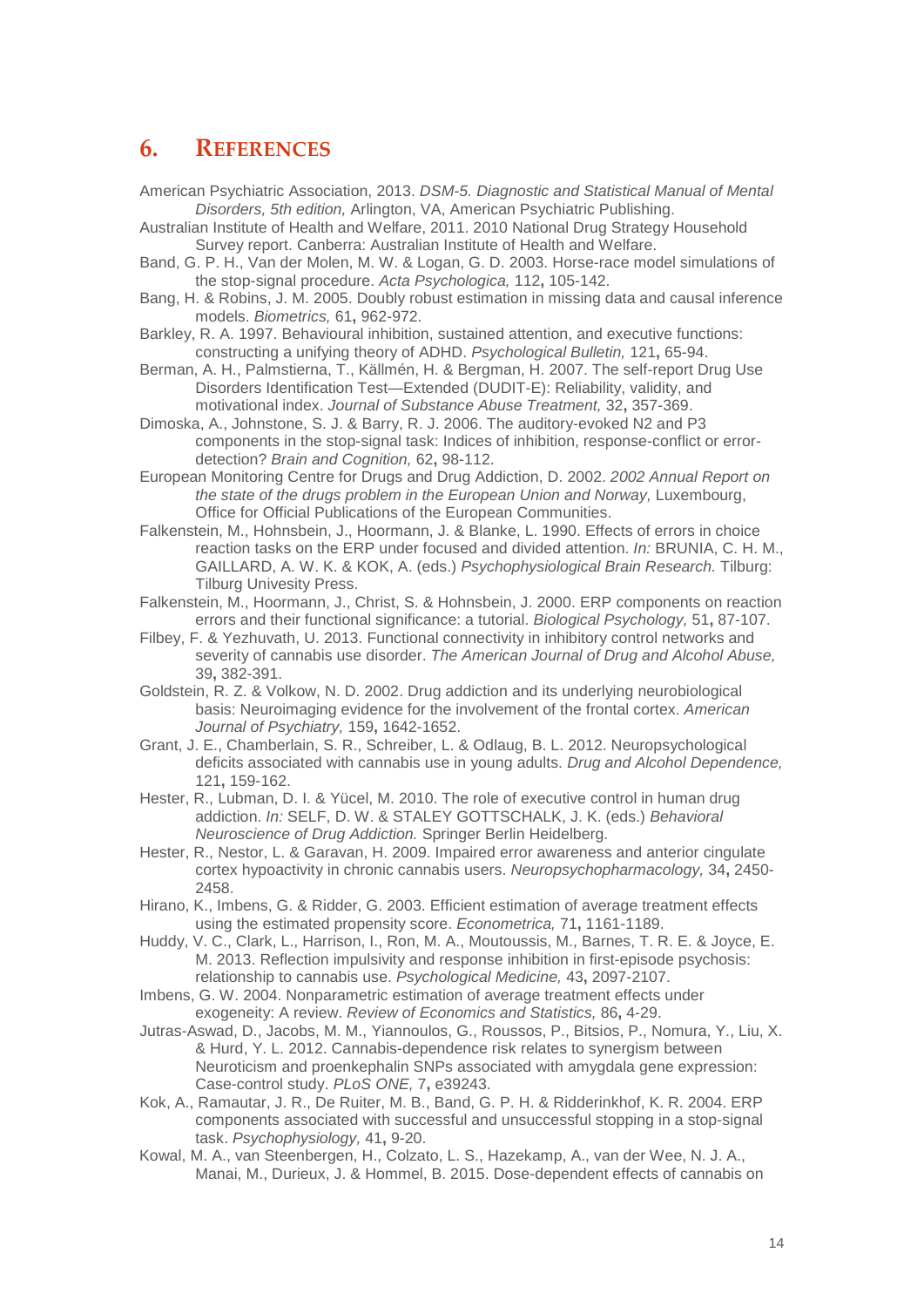#### <span id="page-13-0"></span>**6. REFERENCES**

- American Psychiatric Association, 2013. *DSM-5. Diagnostic and Statistical Manual of Mental Disorders, 5th edition,* Arlington, VA, American Psychiatric Publishing.
- Australian Institute of Health and Welfare, 2011. 2010 National Drug Strategy Household Survey report. Canberra: Australian Institute of Health and Welfare.
- Band, G. P. H., Van der Molen, M. W. & Logan, G. D. 2003. Horse-race model simulations of the stop-signal procedure. *Acta Psychologica,* 112**,** 105-142.
- Bang, H. & Robins, J. M. 2005. Doubly robust estimation in missing data and causal inference models. *Biometrics,* 61**,** 962-972.
- Barkley, R. A. 1997. Behavioural inhibition, sustained attention, and executive functions: constructing a unifying theory of ADHD. *Psychological Bulletin,* 121**,** 65-94.
- Berman, A. H., Palmstierna, T., Källmén, H. & Bergman, H. 2007. The self-report Drug Use Disorders Identification Test—Extended (DUDIT-E): Reliability, validity, and motivational index. *Journal of Substance Abuse Treatment,* 32**,** 357-369.
- Dimoska, A., Johnstone, S. J. & Barry, R. J. 2006. The auditory-evoked N2 and P3 components in the stop-signal task: Indices of inhibition, response-conflict or errordetection? *Brain and Cognition,* 62**,** 98-112.
- European Monitoring Centre for Drugs and Drug Addiction, D. 2002. *2002 Annual Report on the state of the drugs problem in the European Union and Norway, Luxembourg,* Office for Official Publications of the European Communities.
- Falkenstein, M., Hohnsbein, J., Hoormann, J. & Blanke, L. 1990. Effects of errors in choice reaction tasks on the ERP under focused and divided attention. *In:* BRUNIA, C. H. M., GAILLARD, A. W. K. & KOK, A. (eds.) *Psychophysiological Brain Research.* Tilburg: Tilburg Univesity Press.
- Falkenstein, M., Hoormann, J., Christ, S. & Hohnsbein, J. 2000. ERP components on reaction errors and their functional significance: a tutorial. *Biological Psychology,* 51**,** 87-107.
- Filbey, F. & Yezhuvath, U. 2013. Functional connectivity in inhibitory control networks and severity of cannabis use disorder. *The American Journal of Drug and Alcohol Abuse,* 39**,** 382-391.
- Goldstein, R. Z. & Volkow, N. D. 2002. Drug addiction and its underlying neurobiological basis: Neuroimaging evidence for the involvement of the frontal cortex. *American Journal of Psychiatry,* 159**,** 1642-1652.
- Grant, J. E., Chamberlain, S. R., Schreiber, L. & Odlaug, B. L. 2012. Neuropsychological deficits associated with cannabis use in young adults. *Drug and Alcohol Dependence,* 121**,** 159-162.
- Hester, R., Lubman, D. I. & Yücel, M. 2010. The role of executive control in human drug addiction. *In:* SELF, D. W. & STALEY GOTTSCHALK, J. K. (eds.) *Behavioral Neuroscience of Drug Addiction.* Springer Berlin Heidelberg.
- Hester, R., Nestor, L. & Garavan, H. 2009. Impaired error awareness and anterior cingulate cortex hypoactivity in chronic cannabis users. *Neuropsychopharmacology,* 34**,** 2450- 2458.
- Hirano, K., Imbens, G. & Ridder, G. 2003. Efficient estimation of average treatment effects using the estimated propensity score. *Econometrica,* 71**,** 1161-1189.
- Huddy, V. C., Clark, L., Harrison, I., Ron, M. A., Moutoussis, M., Barnes, T. R. E. & Joyce, E. M. 2013. Reflection impulsivity and response inhibition in first-episode psychosis: relationship to cannabis use. *Psychological Medicine,* 43**,** 2097-2107.
- Imbens, G. W. 2004. Nonparametric estimation of average treatment effects under exogeneity: A review. *Review of Economics and Statistics,* 86**,** 4-29.
- Jutras-Aswad, D., Jacobs, M. M., Yiannoulos, G., Roussos, P., Bitsios, P., Nomura, Y., Liu, X. & Hurd, Y. L. 2012. Cannabis-dependence risk relates to synergism between Neuroticism and proenkephalin SNPs associated with amygdala gene expression: Case-control study. *PLoS ONE,* 7**,** e39243.
- Kok, A., Ramautar, J. R., De Ruiter, M. B., Band, G. P. H. & Ridderinkhof, K. R. 2004. ERP components associated with successful and unsuccessful stopping in a stop-signal task. *Psychophysiology,* 41**,** 9-20.
- Kowal, M. A., van Steenbergen, H., Colzato, L. S., Hazekamp, A., van der Wee, N. J. A., Manai, M., Durieux, J. & Hommel, B. 2015. Dose-dependent effects of cannabis on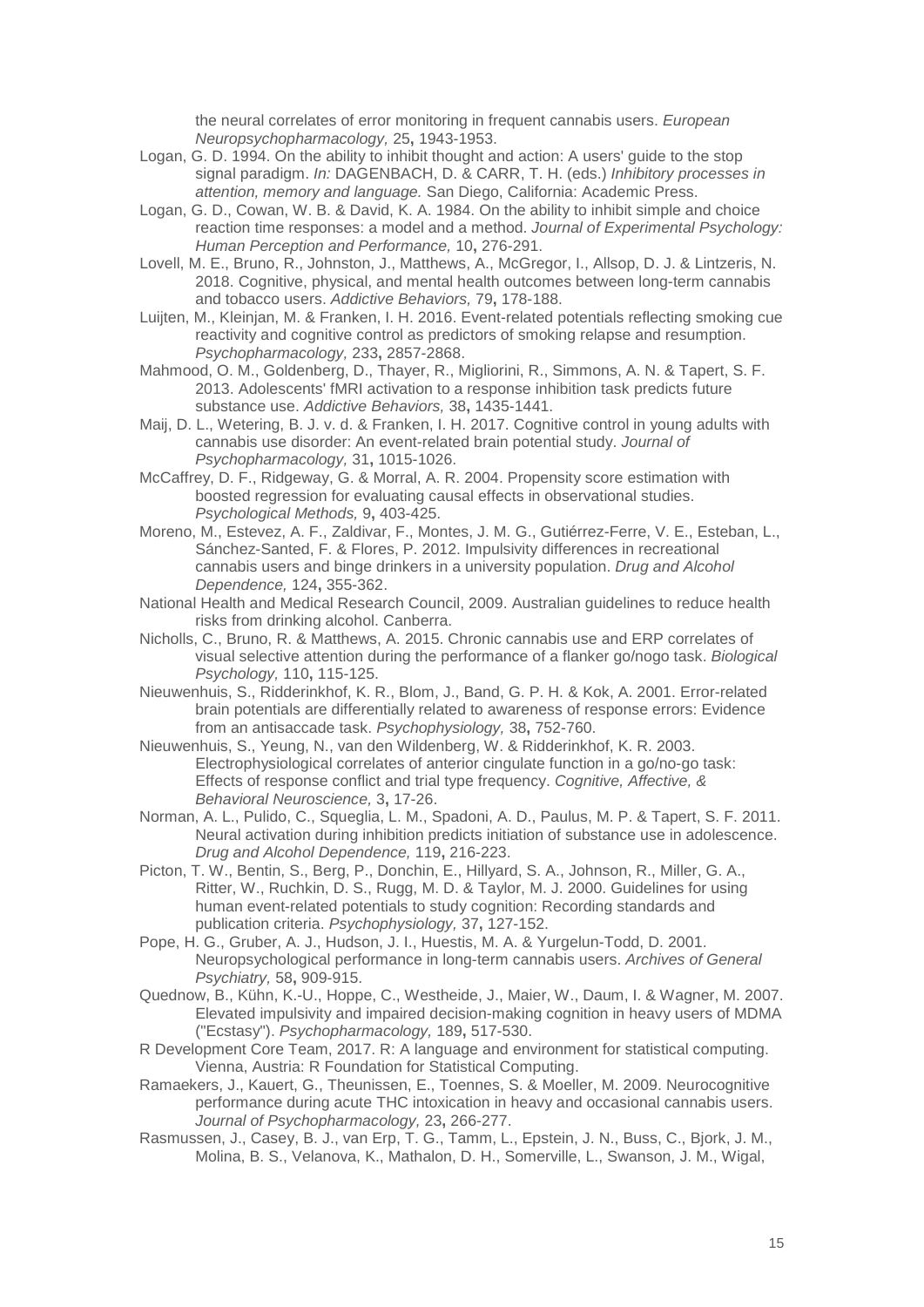the neural correlates of error monitoring in frequent cannabis users. *European Neuropsychopharmacology,* 25**,** 1943-1953.

- Logan, G. D. 1994. On the ability to inhibit thought and action: A users' guide to the stop signal paradigm. *In:* DAGENBACH, D. & CARR, T. H. (eds.) *Inhibitory processes in attention, memory and language.* San Diego, California: Academic Press.
- Logan, G. D., Cowan, W. B. & David, K. A. 1984. On the ability to inhibit simple and choice reaction time responses: a model and a method. *Journal of Experimental Psychology: Human Perception and Performance,* 10**,** 276-291.
- Lovell, M. E., Bruno, R., Johnston, J., Matthews, A., McGregor, I., Allsop, D. J. & Lintzeris, N. 2018. Cognitive, physical, and mental health outcomes between long-term cannabis and tobacco users. *Addictive Behaviors,* 79**,** 178-188.
- Luijten, M., Kleinjan, M. & Franken, I. H. 2016. Event-related potentials reflecting smoking cue reactivity and cognitive control as predictors of smoking relapse and resumption. *Psychopharmacology,* 233**,** 2857-2868.
- Mahmood, O. M., Goldenberg, D., Thayer, R., Migliorini, R., Simmons, A. N. & Tapert, S. F. 2013. Adolescents' fMRI activation to a response inhibition task predicts future substance use. *Addictive Behaviors,* 38**,** 1435-1441.
- Maij, D. L., Wetering, B. J. v. d. & Franken, I. H. 2017. Cognitive control in young adults with cannabis use disorder: An event-related brain potential study. *Journal of Psychopharmacology,* 31**,** 1015-1026.
- McCaffrey, D. F., Ridgeway, G. & Morral, A. R. 2004. Propensity score estimation with boosted regression for evaluating causal effects in observational studies. *Psychological Methods,* 9**,** 403-425.
- Moreno, M., Estevez, A. F., Zaldivar, F., Montes, J. M. G., Gutiérrez-Ferre, V. E., Esteban, L., Sánchez-Santed, F. & Flores, P. 2012. Impulsivity differences in recreational cannabis users and binge drinkers in a university population. *Drug and Alcohol Dependence,* 124**,** 355-362.
- National Health and Medical Research Council, 2009. Australian guidelines to reduce health risks from drinking alcohol. Canberra.
- Nicholls, C., Bruno, R. & Matthews, A. 2015. Chronic cannabis use and ERP correlates of visual selective attention during the performance of a flanker go/nogo task. *Biological Psychology,* 110**,** 115-125.
- Nieuwenhuis, S., Ridderinkhof, K. R., Blom, J., Band, G. P. H. & Kok, A. 2001. Error-related brain potentials are differentially related to awareness of response errors: Evidence from an antisaccade task. *Psychophysiology,* 38**,** 752-760.
- Nieuwenhuis, S., Yeung, N., van den Wildenberg, W. & Ridderinkhof, K. R. 2003. Electrophysiological correlates of anterior cingulate function in a go/no-go task: Effects of response conflict and trial type frequency. *Cognitive, Affective, & Behavioral Neuroscience,* 3**,** 17-26.
- Norman, A. L., Pulido, C., Squeglia, L. M., Spadoni, A. D., Paulus, M. P. & Tapert, S. F. 2011. Neural activation during inhibition predicts initiation of substance use in adolescence. *Drug and Alcohol Dependence,* 119**,** 216-223.
- Picton, T. W., Bentin, S., Berg, P., Donchin, E., Hillyard, S. A., Johnson, R., Miller, G. A., Ritter, W., Ruchkin, D. S., Rugg, M. D. & Taylor, M. J. 2000. Guidelines for using human event-related potentials to study cognition: Recording standards and publication criteria. *Psychophysiology,* 37**,** 127-152.
- Pope, H. G., Gruber, A. J., Hudson, J. I., Huestis, M. A. & Yurgelun-Todd, D. 2001. Neuropsychological performance in long-term cannabis users. *Archives of General Psychiatry,* 58**,** 909-915.
- Quednow, B., Kühn, K.-U., Hoppe, C., Westheide, J., Maier, W., Daum, I. & Wagner, M. 2007. Elevated impulsivity and impaired decision-making cognition in heavy users of MDMA ("Ecstasy"). *Psychopharmacology,* 189**,** 517-530.
- R Development Core Team, 2017. R: A language and environment for statistical computing. Vienna, Austria: R Foundation for Statistical Computing.
- Ramaekers, J., Kauert, G., Theunissen, E., Toennes, S. & Moeller, M. 2009. Neurocognitive performance during acute THC intoxication in heavy and occasional cannabis users. *Journal of Psychopharmacology,* 23**,** 266-277.
- Rasmussen, J., Casey, B. J., van Erp, T. G., Tamm, L., Epstein, J. N., Buss, C., Bjork, J. M., Molina, B. S., Velanova, K., Mathalon, D. H., Somerville, L., Swanson, J. M., Wigal,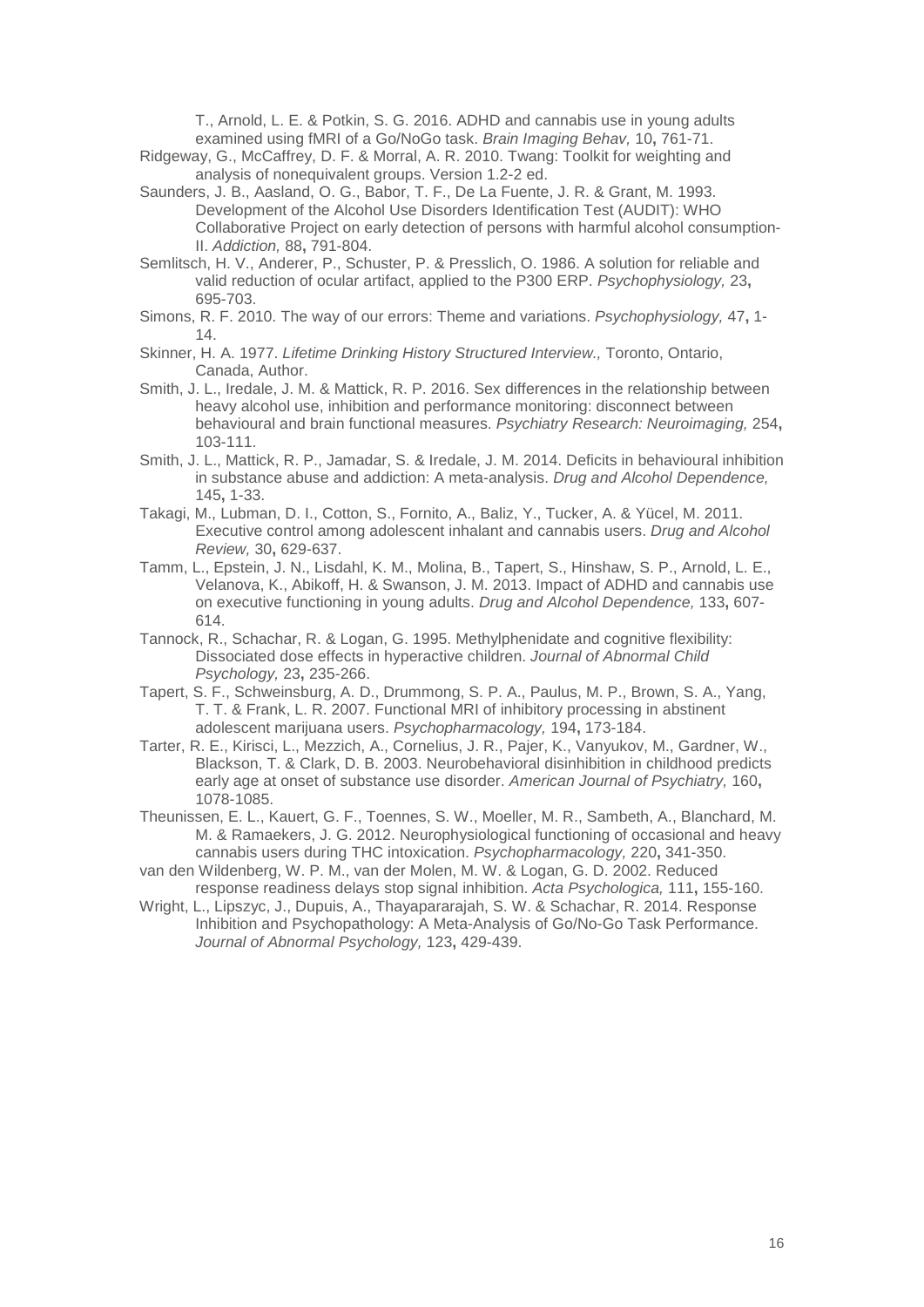T., Arnold, L. E. & Potkin, S. G. 2016. ADHD and cannabis use in young adults examined using fMRI of a Go/NoGo task. *Brain Imaging Behav,* 10**,** 761-71.

- Ridgeway, G., McCaffrey, D. F. & Morral, A. R. 2010. Twang: Toolkit for weighting and analysis of nonequivalent groups. Version 1.2-2 ed.
- Saunders, J. B., Aasland, O. G., Babor, T. F., De La Fuente, J. R. & Grant, M. 1993. Development of the Alcohol Use Disorders Identification Test (AUDIT): WHO Collaborative Project on early detection of persons with harmful alcohol consumption-II. *Addiction,* 88**,** 791-804.
- Semlitsch, H. V., Anderer, P., Schuster, P. & Presslich, O. 1986. A solution for reliable and valid reduction of ocular artifact, applied to the P300 ERP. *Psychophysiology,* 23**,** 695-703.
- Simons, R. F. 2010. The way of our errors: Theme and variations. *Psychophysiology,* 47**,** 1- 14.
- Skinner, H. A. 1977. *Lifetime Drinking History Structured Interview.,* Toronto, Ontario, Canada, Author.
- Smith, J. L., Iredale, J. M. & Mattick, R. P. 2016. Sex differences in the relationship between heavy alcohol use, inhibition and performance monitoring: disconnect between behavioural and brain functional measures. *Psychiatry Research: Neuroimaging,* 254**,** 103-111.
- Smith, J. L., Mattick, R. P., Jamadar, S. & Iredale, J. M. 2014. Deficits in behavioural inhibition in substance abuse and addiction: A meta-analysis. *Drug and Alcohol Dependence,* 145**,** 1-33.
- Takagi, M., Lubman, D. I., Cotton, S., Fornito, A., Baliz, Y., Tucker, A. & Yücel, M. 2011. Executive control among adolescent inhalant and cannabis users. *Drug and Alcohol Review,* 30**,** 629-637.
- Tamm, L., Epstein, J. N., Lisdahl, K. M., Molina, B., Tapert, S., Hinshaw, S. P., Arnold, L. E., Velanova, K., Abikoff, H. & Swanson, J. M. 2013. Impact of ADHD and cannabis use on executive functioning in young adults. *Drug and Alcohol Dependence,* 133**,** 607- 614.
- Tannock, R., Schachar, R. & Logan, G. 1995. Methylphenidate and cognitive flexibility: Dissociated dose effects in hyperactive children. *Journal of Abnormal Child Psychology,* 23**,** 235-266.
- Tapert, S. F., Schweinsburg, A. D., Drummong, S. P. A., Paulus, M. P., Brown, S. A., Yang, T. T. & Frank, L. R. 2007. Functional MRI of inhibitory processing in abstinent adolescent marijuana users. *Psychopharmacology,* 194**,** 173-184.
- Tarter, R. E., Kirisci, L., Mezzich, A., Cornelius, J. R., Pajer, K., Vanyukov, M., Gardner, W., Blackson, T. & Clark, D. B. 2003. Neurobehavioral disinhibition in childhood predicts early age at onset of substance use disorder. *American Journal of Psychiatry,* 160**,** 1078-1085.
- Theunissen, E. L., Kauert, G. F., Toennes, S. W., Moeller, M. R., Sambeth, A., Blanchard, M. M. & Ramaekers, J. G. 2012. Neurophysiological functioning of occasional and heavy cannabis users during THC intoxication. *Psychopharmacology,* 220**,** 341-350.
- van den Wildenberg, W. P. M., van der Molen, M. W. & Logan, G. D. 2002. Reduced response readiness delays stop signal inhibition. *Acta Psychologica,* 111**,** 155-160.
- Wright, L., Lipszyc, J., Dupuis, A., Thayapararajah, S. W. & Schachar, R. 2014. Response Inhibition and Psychopathology: A Meta-Analysis of Go/No-Go Task Performance. *Journal of Abnormal Psychology,* 123**,** 429-439.